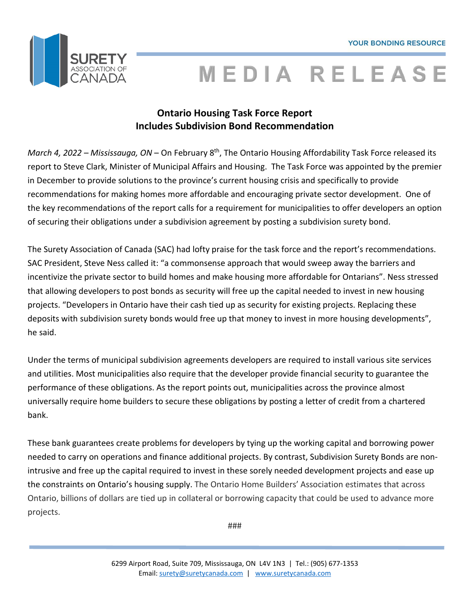

# **MEDIA RELEASE**

### **Ontario Housing Task Force Report Includes Subdivision Bond Recommendation**

*March 4, 2022 – Mississauga, ON* – On February 8th, The Ontario Housing Affordability Task Force released its report to Steve Clark, Minister of Municipal Affairs and Housing. The Task Force was appointed by the premier in December to provide solutions to the province's current housing crisis and specifically to provide recommendations for making homes more affordable and encouraging private sector development. One of the key recommendations of the report calls for a requirement for municipalities to offer developers an option of securing their obligations under a subdivision agreement by posting a subdivision surety bond.

The Surety Association of Canada (SAC) had lofty praise for the task force and the report's recommendations. SAC President, Steve Ness called it: "a commonsense approach that would sweep away the barriers and incentivize the private sector to build homes and make housing more affordable for Ontarians". Ness stressed that allowing developers to post bonds as security will free up the capital needed to invest in new housing projects. "Developers in Ontario have their cash tied up as security for existing projects. Replacing these deposits with subdivision surety bonds would free up that money to invest in more housing developments", he said.

Under the terms of municipal subdivision agreements developers are required to install various site services and utilities. Most municipalities also require that the developer provide financial security to guarantee the performance of these obligations. As the report points out, municipalities across the province almost universally require home builders to secure these obligations by posting a letter of credit from a chartered bank.

These bank guarantees create problems for developers by tying up the working capital and borrowing power needed to carry on operations and finance additional projects. By contrast, Subdivision Surety Bonds are nonintrusive and free up the capital required to invest in these sorely needed development projects and ease up the constraints on Ontario's housing supply. The Ontario Home Builders' Association estimates that across Ontario, billions of dollars are tied up in collateral or borrowing capacity that could be used to advance more projects.